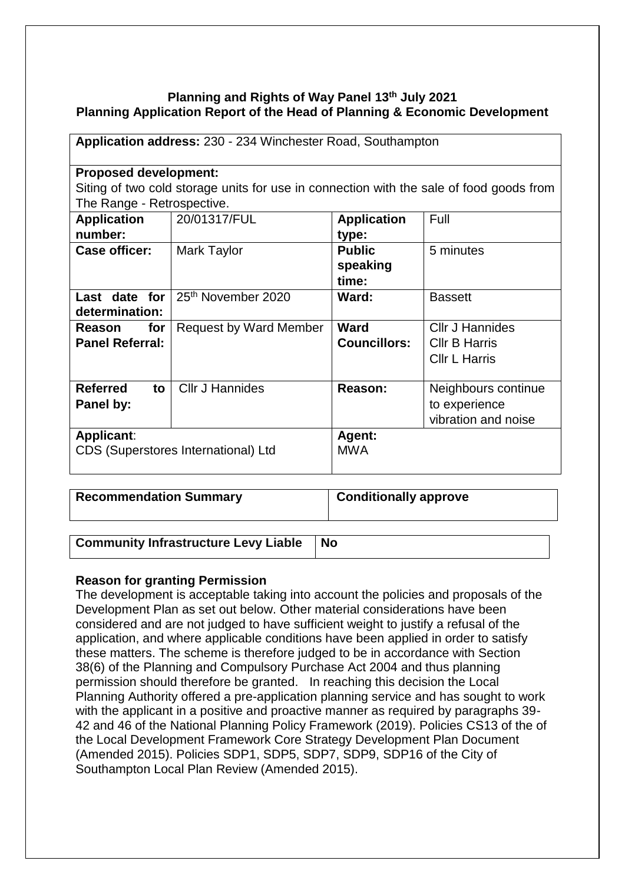## **Planning and Rights of Way Panel 13th July 2021 Planning Application Report of the Head of Planning & Economic Development**

| Application address: 230 - 234 Winchester Road, Southampton                             |                                |                     |                        |  |
|-----------------------------------------------------------------------------------------|--------------------------------|---------------------|------------------------|--|
| <b>Proposed development:</b>                                                            |                                |                     |                        |  |
| Siting of two cold storage units for use in connection with the sale of food goods from |                                |                     |                        |  |
| The Range - Retrospective.                                                              |                                |                     |                        |  |
| <b>Application</b>                                                                      | 20/01317/FUL                   | <b>Application</b>  | Full                   |  |
| number:                                                                                 |                                | type:               |                        |  |
| <b>Case officer:</b>                                                                    | Mark Taylor                    | <b>Public</b>       | 5 minutes              |  |
|                                                                                         |                                | speaking            |                        |  |
|                                                                                         |                                | time:               |                        |  |
| Last date for                                                                           | 25 <sup>th</sup> November 2020 | Ward:               | <b>Bassett</b>         |  |
| determination:                                                                          |                                |                     |                        |  |
| for<br>Reason                                                                           | <b>Request by Ward Member</b>  | Ward                | <b>CIIr J Hannides</b> |  |
| <b>Panel Referral:</b>                                                                  |                                | <b>Councillors:</b> | <b>CIIr B Harris</b>   |  |
|                                                                                         |                                |                     | <b>CIIr L Harris</b>   |  |
|                                                                                         |                                |                     |                        |  |
| <b>Referred</b><br>to                                                                   | <b>Cllr J Hannides</b>         | Reason:             | Neighbours continue    |  |
| Panel by:                                                                               |                                |                     | to experience          |  |
|                                                                                         |                                |                     | vibration and noise    |  |
| Applicant:                                                                              |                                | Agent:              |                        |  |
| CDS (Superstores International) Ltd                                                     |                                | <b>MWA</b>          |                        |  |
|                                                                                         |                                |                     |                        |  |

**Recommendation Summary Conditionally approve**

**Community Infrastructure Levy Liable No**

**Reason for granting Permission**

The development is acceptable taking into account the policies and proposals of the Development Plan as set out below. Other material considerations have been considered and are not judged to have sufficient weight to justify a refusal of the application, and where applicable conditions have been applied in order to satisfy these matters. The scheme is therefore judged to be in accordance with Section 38(6) of the Planning and Compulsory Purchase Act 2004 and thus planning permission should therefore be granted. In reaching this decision the Local Planning Authority offered a pre-application planning service and has sought to work with the applicant in a positive and proactive manner as required by paragraphs 39- 42 and 46 of the National Planning Policy Framework (2019). Policies CS13 of the of the Local Development Framework Core Strategy Development Plan Document (Amended 2015). Policies SDP1, SDP5, SDP7, SDP9, SDP16 of the City of Southampton Local Plan Review (Amended 2015).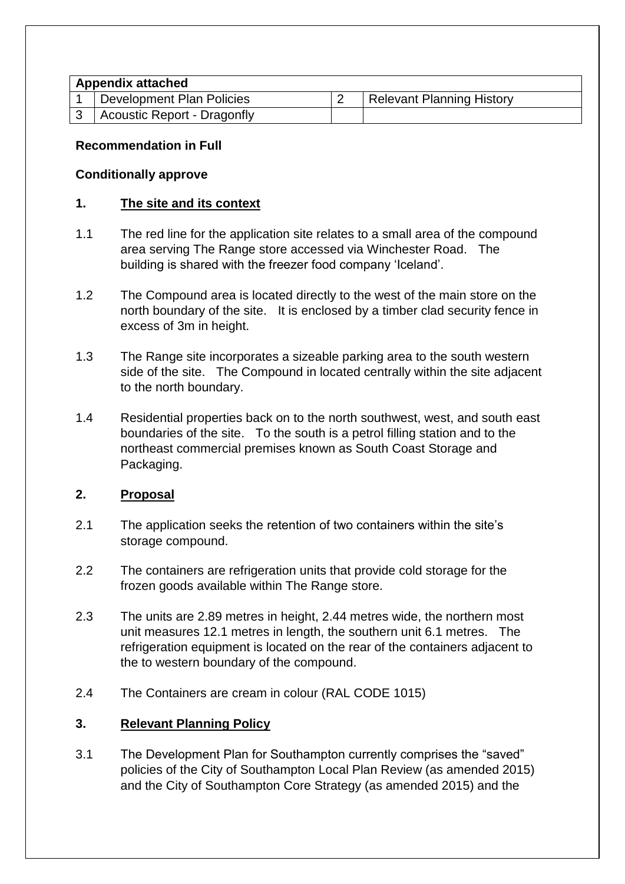# **Appendix attached**

| $\frac{1}{2}$ . The position of the contract of the contract of $\frac{1}{2}$ |                             |  |                           |  |
|-------------------------------------------------------------------------------|-----------------------------|--|---------------------------|--|
|                                                                               | Development Plan Policies   |  | Relevant Planning History |  |
|                                                                               | Acoustic Report - Dragonfly |  |                           |  |

## **Recommendation in Full**

### **Conditionally approve**

## **1. The site and its context**

- 1.1 The red line for the application site relates to a small area of the compound area serving The Range store accessed via Winchester Road. The building is shared with the freezer food company 'Iceland'.
- 1.2 The Compound area is located directly to the west of the main store on the north boundary of the site. It is enclosed by a timber clad security fence in excess of 3m in height.
- 1.3 The Range site incorporates a sizeable parking area to the south western side of the site. The Compound in located centrally within the site adjacent to the north boundary.
- 1.4 Residential properties back on to the north southwest, west, and south east boundaries of the site. To the south is a petrol filling station and to the northeast commercial premises known as South Coast Storage and Packaging.

# **2. Proposal**

- 2.1 The application seeks the retention of two containers within the site's storage compound.
- 2.2 The containers are refrigeration units that provide cold storage for the frozen goods available within The Range store.
- 2.3 The units are 2.89 metres in height, 2.44 metres wide, the northern most unit measures 12.1 metres in length, the southern unit 6.1 metres. The refrigeration equipment is located on the rear of the containers adjacent to the to western boundary of the compound.
- 2.4 The Containers are cream in colour (RAL CODE 1015)

# **3. Relevant Planning Policy**

3.1 The Development Plan for Southampton currently comprises the "saved" policies of the City of Southampton Local Plan Review (as amended 2015) and the City of Southampton Core Strategy (as amended 2015) and the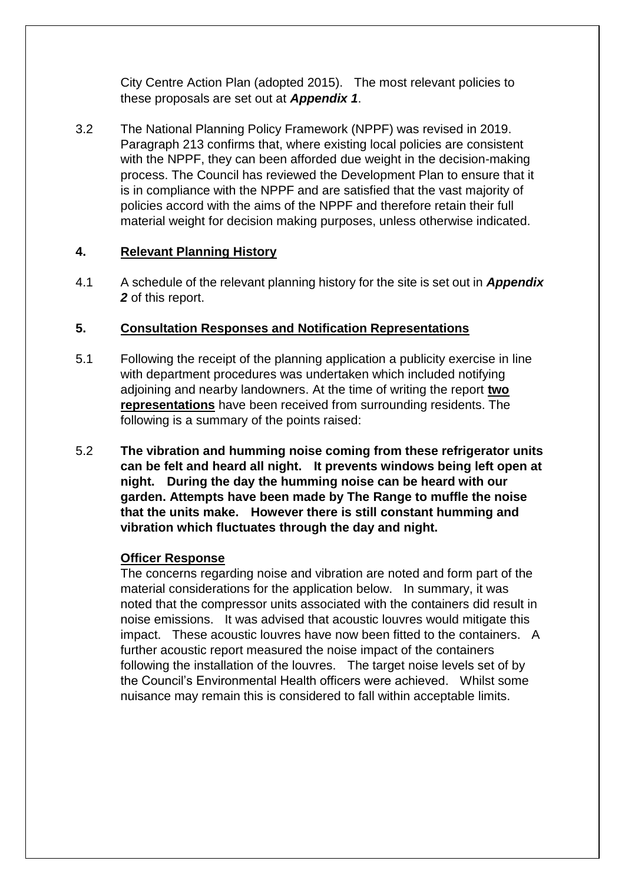City Centre Action Plan (adopted 2015). The most relevant policies to these proposals are set out at *Appendix 1*.

3.2 The National Planning Policy Framework (NPPF) was revised in 2019. Paragraph 213 confirms that, where existing local policies are consistent with the NPPF, they can been afforded due weight in the decision-making process. The Council has reviewed the Development Plan to ensure that it is in compliance with the NPPF and are satisfied that the vast majority of policies accord with the aims of the NPPF and therefore retain their full material weight for decision making purposes, unless otherwise indicated.

## **4. Relevant Planning History**

4.1 A schedule of the relevant planning history for the site is set out in *Appendix 2* of this report.

## **5. Consultation Responses and Notification Representations**

- 5.1 Following the receipt of the planning application a publicity exercise in line with department procedures was undertaken which included notifying adjoining and nearby landowners. At the time of writing the report **two representations** have been received from surrounding residents. The following is a summary of the points raised:
- 5.2 **The vibration and humming noise coming from these refrigerator units can be felt and heard all night. It prevents windows being left open at night. During the day the humming noise can be heard with our garden. Attempts have been made by The Range to muffle the noise that the units make. However there is still constant humming and vibration which fluctuates through the day and night.**

### **Officer Response**

The concerns regarding noise and vibration are noted and form part of the material considerations for the application below. In summary, it was noted that the compressor units associated with the containers did result in noise emissions. It was advised that acoustic louvres would mitigate this impact. These acoustic louvres have now been fitted to the containers. A further acoustic report measured the noise impact of the containers following the installation of the louvres. The target noise levels set of by the Council's Environmental Health officers were achieved. Whilst some nuisance may remain this is considered to fall within acceptable limits.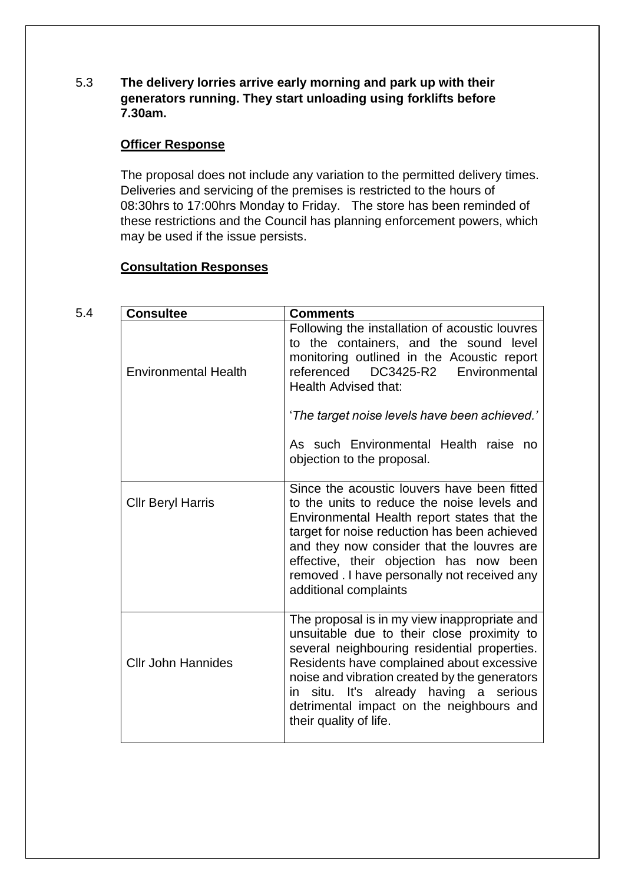5.3 **The delivery lorries arrive early morning and park up with their generators running. They start unloading using forklifts before 7.30am.**

#### **Officer Response**

The proposal does not include any variation to the permitted delivery times. Deliveries and servicing of the premises is restricted to the hours of 08:30hrs to 17:00hrs Monday to Friday. The store has been reminded of these restrictions and the Council has planning enforcement powers, which may be used if the issue persists.

### **Consultation Responses**

| 5.4 | <b>Consultee</b>            | <b>Comments</b>                                                                                                                                                                                                                                                                                                                                             |
|-----|-----------------------------|-------------------------------------------------------------------------------------------------------------------------------------------------------------------------------------------------------------------------------------------------------------------------------------------------------------------------------------------------------------|
|     | <b>Environmental Health</b> | Following the installation of acoustic louvres<br>to the containers, and the sound level<br>monitoring outlined in the Acoustic report<br>DC3425-R2<br>referenced<br>Environmental<br><b>Health Advised that:</b>                                                                                                                                           |
|     |                             | 'The target noise levels have been achieved.'                                                                                                                                                                                                                                                                                                               |
|     |                             | As such Environmental Health raise no<br>objection to the proposal.                                                                                                                                                                                                                                                                                         |
|     | <b>Cllr Beryl Harris</b>    | Since the acoustic louvers have been fitted<br>to the units to reduce the noise levels and<br>Environmental Health report states that the<br>target for noise reduction has been achieved<br>and they now consider that the louvres are<br>effective, their objection has now been<br>removed . I have personally not received any<br>additional complaints |
|     | <b>Cllr John Hannides</b>   | The proposal is in my view inappropriate and<br>unsuitable due to their close proximity to<br>several neighbouring residential properties.<br>Residents have complained about excessive<br>noise and vibration created by the generators<br>situ. It's already having a serious<br>in<br>detrimental impact on the neighbours and<br>their quality of life. |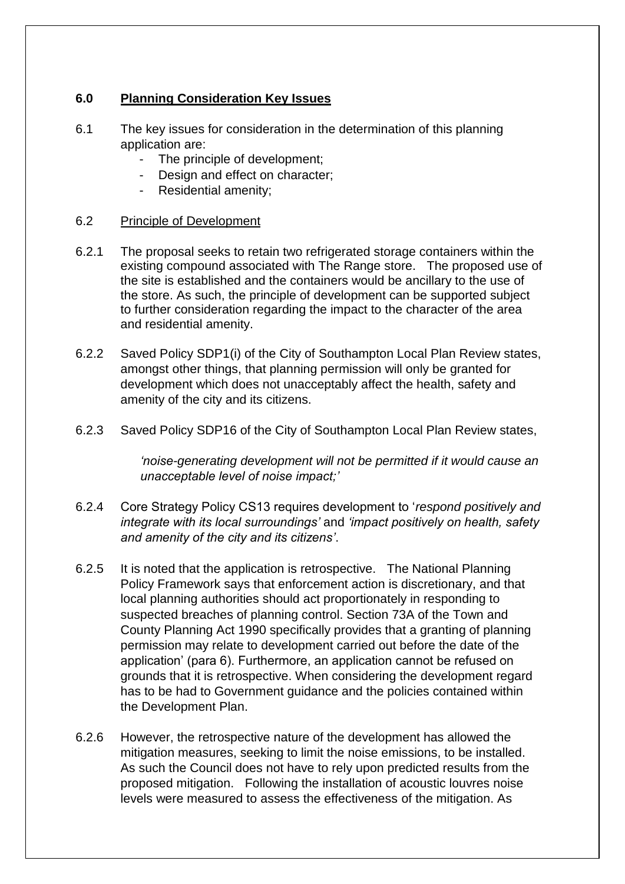## **6.0 Planning Consideration Key Issues**

- 6.1 The key issues for consideration in the determination of this planning application are:
	- The principle of development;
	- Design and effect on character;
	- Residential amenity;

### 6.2 Principle of Development

- 6.2.1 The proposal seeks to retain two refrigerated storage containers within the existing compound associated with The Range store. The proposed use of the site is established and the containers would be ancillary to the use of the store. As such, the principle of development can be supported subject to further consideration regarding the impact to the character of the area and residential amenity.
- 6.2.2 Saved Policy SDP1(i) of the City of Southampton Local Plan Review states, amongst other things, that planning permission will only be granted for development which does not unacceptably affect the health, safety and amenity of the city and its citizens.
- 6.2.3 Saved Policy SDP16 of the City of Southampton Local Plan Review states,

*'noise-generating development will not be permitted if it would cause an unacceptable level of noise impact;'*

- 6.2.4 Core Strategy Policy CS13 requires development to '*respond positively and integrate with its local surroundings'* and *'impact positively on health, safety and amenity of the city and its citizens'*.
- 6.2.5 It is noted that the application is retrospective. The National Planning Policy Framework says that enforcement action is discretionary, and that local planning authorities should act proportionately in responding to suspected breaches of planning control. Section 73A of the Town and County Planning Act 1990 specifically provides that a granting of planning permission may relate to development carried out before the date of the application' (para 6). Furthermore, an application cannot be refused on grounds that it is retrospective. When considering the development regard has to be had to Government guidance and the policies contained within the Development Plan.
- 6.2.6 However, the retrospective nature of the development has allowed the mitigation measures, seeking to limit the noise emissions, to be installed. As such the Council does not have to rely upon predicted results from the proposed mitigation. Following the installation of acoustic louvres noise levels were measured to assess the effectiveness of the mitigation. As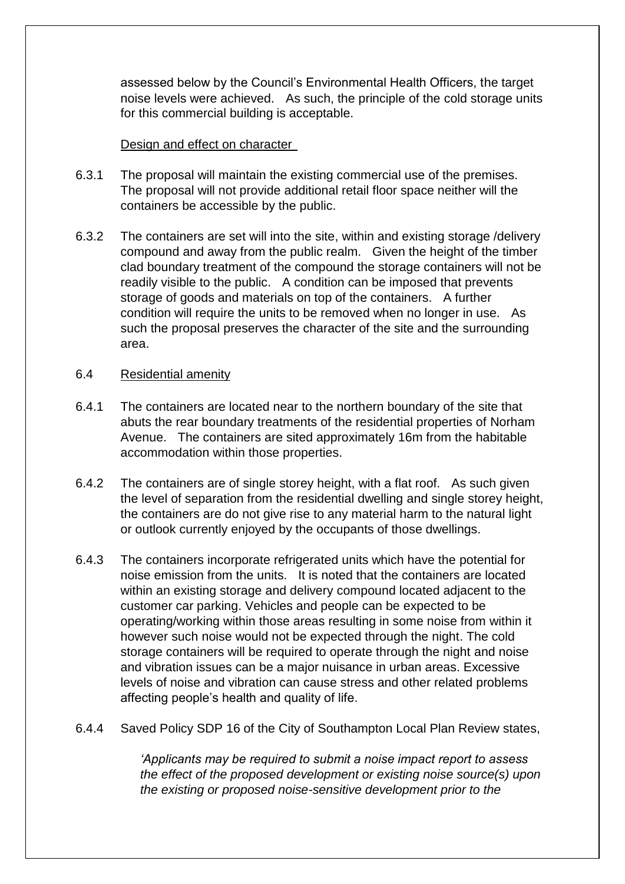assessed below by the Council's Environmental Health Officers, the target noise levels were achieved. As such, the principle of the cold storage units for this commercial building is acceptable.

#### Design and effect on character

- 6.3.1 The proposal will maintain the existing commercial use of the premises. The proposal will not provide additional retail floor space neither will the containers be accessible by the public.
- 6.3.2 The containers are set will into the site, within and existing storage /delivery compound and away from the public realm. Given the height of the timber clad boundary treatment of the compound the storage containers will not be readily visible to the public. A condition can be imposed that prevents storage of goods and materials on top of the containers. A further condition will require the units to be removed when no longer in use. As such the proposal preserves the character of the site and the surrounding area.

#### 6.4 Residential amenity

- 6.4.1 The containers are located near to the northern boundary of the site that abuts the rear boundary treatments of the residential properties of Norham Avenue. The containers are sited approximately 16m from the habitable accommodation within those properties.
- 6.4.2 The containers are of single storey height, with a flat roof. As such given the level of separation from the residential dwelling and single storey height, the containers are do not give rise to any material harm to the natural light or outlook currently enjoyed by the occupants of those dwellings.
- 6.4.3 The containers incorporate refrigerated units which have the potential for noise emission from the units. It is noted that the containers are located within an existing storage and delivery compound located adjacent to the customer car parking. Vehicles and people can be expected to be operating/working within those areas resulting in some noise from within it however such noise would not be expected through the night. The cold storage containers will be required to operate through the night and noise and vibration issues can be a major nuisance in urban areas. Excessive levels of noise and vibration can cause stress and other related problems affecting people's health and quality of life.
- 6.4.4 Saved Policy SDP 16 of the City of Southampton Local Plan Review states,

*'Applicants may be required to submit a noise impact report to assess the effect of the proposed development or existing noise source(s) upon the existing or proposed noise-sensitive development prior to the*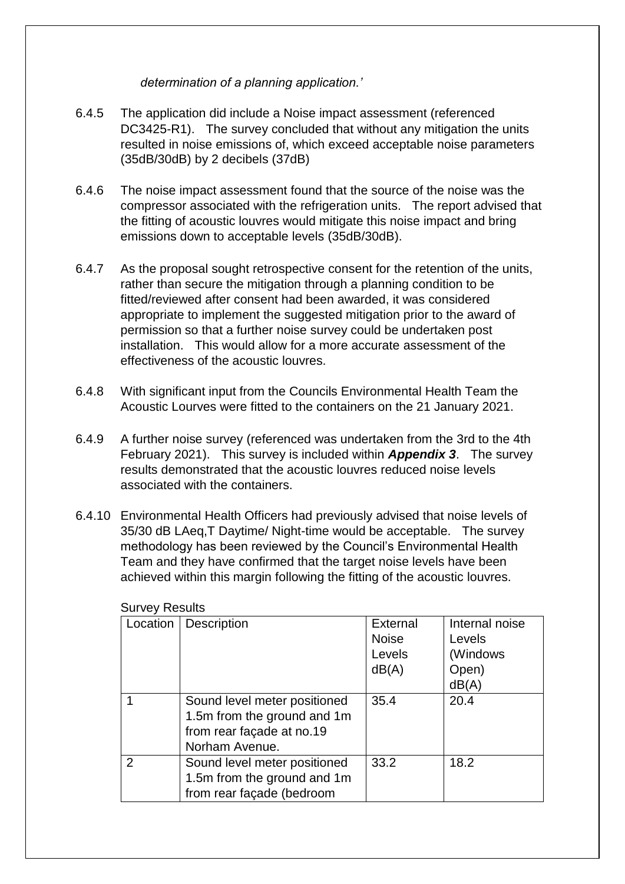*determination of a planning application.'*

- 6.4.5 The application did include a Noise impact assessment (referenced DC3425-R1). The survey concluded that without any mitigation the units resulted in noise emissions of, which exceed acceptable noise parameters (35dB/30dB) by 2 decibels (37dB)
- 6.4.6 The noise impact assessment found that the source of the noise was the compressor associated with the refrigeration units. The report advised that the fitting of acoustic louvres would mitigate this noise impact and bring emissions down to acceptable levels (35dB/30dB).
- 6.4.7 As the proposal sought retrospective consent for the retention of the units, rather than secure the mitigation through a planning condition to be fitted/reviewed after consent had been awarded, it was considered appropriate to implement the suggested mitigation prior to the award of permission so that a further noise survey could be undertaken post installation. This would allow for a more accurate assessment of the effectiveness of the acoustic louvres.
- 6.4.8 With significant input from the Councils Environmental Health Team the Acoustic Lourves were fitted to the containers on the 21 January 2021.
- 6.4.9 A further noise survey (referenced was undertaken from the 3rd to the 4th February 2021). This survey is included within *Appendix 3*. The survey results demonstrated that the acoustic louvres reduced noise levels associated with the containers.
- 6.4.10 Environmental Health Officers had previously advised that noise levels of 35/30 dB LAeq,T Daytime/ Night-time would be acceptable. The survey methodology has been reviewed by the Council's Environmental Health Team and they have confirmed that the target noise levels have been achieved within this margin following the fitting of the acoustic louvres.

| Location | <b>Description</b>           | <b>External</b> | Internal noise |
|----------|------------------------------|-----------------|----------------|
|          |                              | <b>Noise</b>    | Levels         |
|          |                              | Levels          | (Windows       |
|          |                              | dB(A)           | Open)          |
|          |                              |                 | dB(A)          |
|          | Sound level meter positioned | 35.4            | 20.4           |
|          | 1.5m from the ground and 1m  |                 |                |
|          | from rear façade at no.19    |                 |                |
|          | Norham Avenue.               |                 |                |
| 2        | Sound level meter positioned | 33.2            | 18.2           |
|          | 1.5m from the ground and 1m  |                 |                |
|          | from rear façade (bedroom    |                 |                |

Survey Results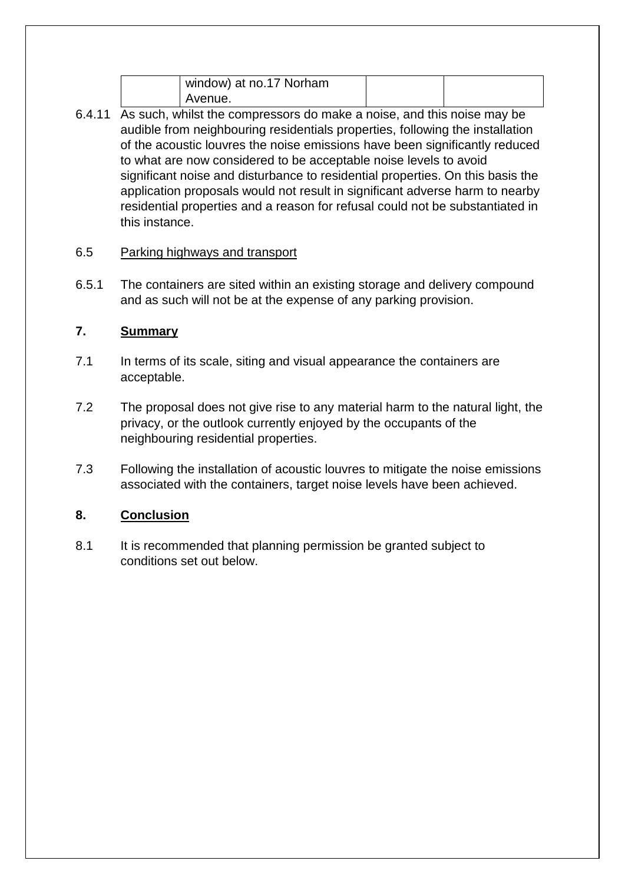| window) at no.17 Norham |  |
|-------------------------|--|
| Avenue.                 |  |

6.4.11 As such, whilst the compressors do make a noise, and this noise may be audible from neighbouring residentials properties, following the installation of the acoustic louvres the noise emissions have been significantly reduced to what are now considered to be acceptable noise levels to avoid significant noise and disturbance to residential properties. On this basis the application proposals would not result in significant adverse harm to nearby residential properties and a reason for refusal could not be substantiated in this instance.

# 6.5 Parking highways and transport

6.5.1 The containers are sited within an existing storage and delivery compound and as such will not be at the expense of any parking provision.

# **7. Summary**

- 7.1 In terms of its scale, siting and visual appearance the containers are acceptable.
- 7.2 The proposal does not give rise to any material harm to the natural light, the privacy, or the outlook currently enjoyed by the occupants of the neighbouring residential properties.
- 7.3 Following the installation of acoustic louvres to mitigate the noise emissions associated with the containers, target noise levels have been achieved.

# **8. Conclusion**

8.1 It is recommended that planning permission be granted subject to conditions set out below.